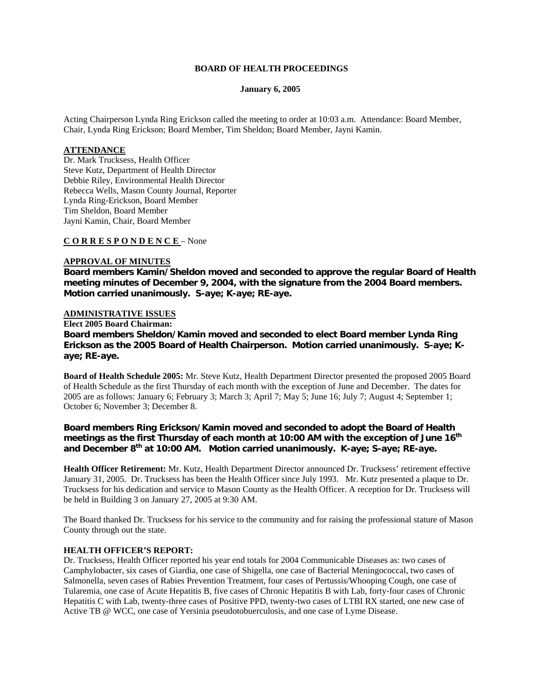### **BOARD OF HEALTH PROCEEDINGS**

#### **January 6, 2005**

Acting Chairperson Lynda Ring Erickson called the meeting to order at 10:03 a.m. Attendance: Board Member, Chair, Lynda Ring Erickson; Board Member, Tim Sheldon; Board Member, Jayni Kamin.

## **ATTENDANCE**

Dr. Mark Trucksess, Health Officer Steve Kutz, Department of Health Director Debbie Riley, Environmental Health Director Rebecca Wells, Mason County Journal, Reporter Lynda Ring-Erickson, Board Member Tim Sheldon, Board Member Jayni Kamin, Chair, Board Member

**C O R R E S P O N D E N C E** – None

### **APPROVAL OF MINUTES**

**Board members Kamin/Sheldon moved and seconded to approve the regular Board of Health meeting minutes of December 9, 2004, with the signature from the 2004 Board members. Motion carried unanimously. S-aye; K-aye; RE-aye.**

### **ADMINISTRATIVE ISSUES**

**Elect 2005 Board Chairman: Board members Sheldon/Kamin moved and seconded to elect Board member Lynda Ring Erickson as the 2005 Board of Health Chairperson. Motion carried unanimously. S-aye; Kaye; RE-aye.**

**Board of Health Schedule 2005:** Mr. Steve Kutz, Health Department Director presented the proposed 2005 Board of Health Schedule as the first Thursday of each month with the exception of June and December. The dates for 2005 are as follows: January 6; February 3; March 3; April 7; May 5; June 16; July 7; August 4; September 1; October 6; November 3; December 8.

## **Board members Ring Erickson/Kamin moved and seconded to adopt the Board of Health**  meetings as the first Thursday of each month at 10:00 AM with the exception of June 16<sup>th</sup> **and December 8th at 10:00 AM. Motion carried unanimously. K-aye; S-aye; RE-aye.**

**Health Officer Retirement:** Mr. Kutz, Health Department Director announced Dr. Trucksess' retirement effective January 31, 2005. Dr. Trucksess has been the Health Officer since July 1993. Mr. Kutz presented a plaque to Dr. Trucksess for his dedication and service to Mason County as the Health Officer. A reception for Dr. Trucksess will be held in Building 3 on January 27, 2005 at 9:30 AM.

The Board thanked Dr. Trucksess for his service to the community and for raising the professional stature of Mason County through out the state.

#### **HEALTH OFFICER'S REPORT:**

Dr. Trucksess, Health Officer reported his year end totals for 2004 Communicable Diseases as: two cases of Camphylobacter, six cases of Giardia, one case of Shigella, one case of Bacterial Meningococcal, two cases of Salmonella, seven cases of Rabies Prevention Treatment, four cases of Pertussis/Whooping Cough, one case of Tularemia, one case of Acute Hepatitis B, five cases of Chronic Hepatitis B with Lab, forty-four cases of Chronic Hepatitis C with Lab, twenty-three cases of Positive PPD, twenty-two cases of LTBI RX started, one new case of Active TB @ WCC, one case of Yersinia pseudotobuerculosis, and one case of Lyme Disease.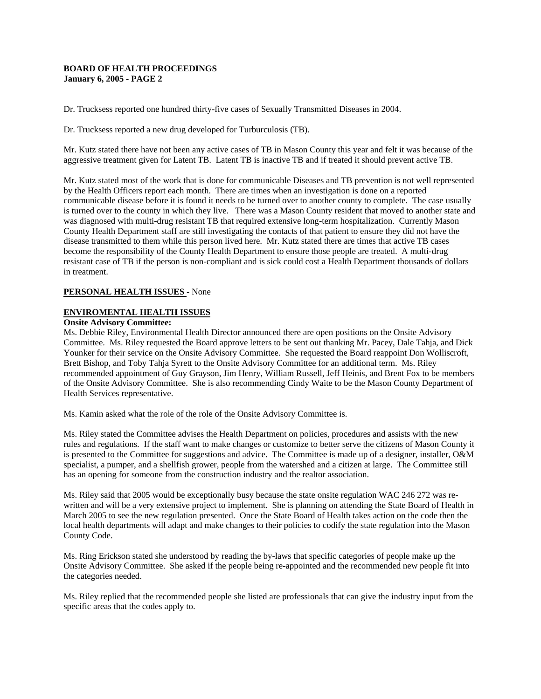### **BOARD OF HEALTH PROCEEDINGS January 6, 2005 - PAGE 2**

Dr. Trucksess reported one hundred thirty-five cases of Sexually Transmitted Diseases in 2004.

Dr. Trucksess reported a new drug developed for Turburculosis (TB).

Mr. Kutz stated there have not been any active cases of TB in Mason County this year and felt it was because of the aggressive treatment given for Latent TB. Latent TB is inactive TB and if treated it should prevent active TB.

Mr. Kutz stated most of the work that is done for communicable Diseases and TB prevention is not well represented by the Health Officers report each month. There are times when an investigation is done on a reported communicable disease before it is found it needs to be turned over to another county to complete. The case usually is turned over to the county in which they live. There was a Mason County resident that moved to another state and was diagnosed with multi-drug resistant TB that required extensive long-term hospitalization. Currently Mason County Health Department staff are still investigating the contacts of that patient to ensure they did not have the disease transmitted to them while this person lived here. Mr. Kutz stated there are times that active TB cases become the responsibility of the County Health Department to ensure those people are treated. A multi-drug resistant case of TB if the person is non-compliant and is sick could cost a Health Department thousands of dollars in treatment.

## **PERSONAL HEALTH ISSUES** - None

### **ENVIROMENTAL HEALTH ISSUES**

#### **Onsite Advisory Committee:**

Ms. Debbie Riley, Environmental Health Director announced there are open positions on the Onsite Advisory Committee. Ms. Riley requested the Board approve letters to be sent out thanking Mr. Pacey, Dale Tahja, and Dick Younker for their service on the Onsite Advisory Committee. She requested the Board reappoint Don Wolliscroft, Brett Bishop, and Toby Tahja Syrett to the Onsite Advisory Committee for an additional term. Ms. Riley recommended appointment of Guy Grayson, Jim Henry, William Russell, Jeff Heinis, and Brent Fox to be members of the Onsite Advisory Committee. She is also recommending Cindy Waite to be the Mason County Department of Health Services representative.

Ms. Kamin asked what the role of the role of the Onsite Advisory Committee is.

Ms. Riley stated the Committee advises the Health Department on policies, procedures and assists with the new rules and regulations. If the staff want to make changes or customize to better serve the citizens of Mason County it is presented to the Committee for suggestions and advice. The Committee is made up of a designer, installer, O&M specialist, a pumper, and a shellfish grower, people from the watershed and a citizen at large. The Committee still has an opening for someone from the construction industry and the realtor association.

Ms. Riley said that 2005 would be exceptionally busy because the state onsite regulation WAC 246 272 was rewritten and will be a very extensive project to implement. She is planning on attending the State Board of Health in March 2005 to see the new regulation presented. Once the State Board of Health takes action on the code then the local health departments will adapt and make changes to their policies to codify the state regulation into the Mason County Code.

Ms. Ring Erickson stated she understood by reading the by-laws that specific categories of people make up the Onsite Advisory Committee. She asked if the people being re-appointed and the recommended new people fit into the categories needed.

Ms. Riley replied that the recommended people she listed are professionals that can give the industry input from the specific areas that the codes apply to.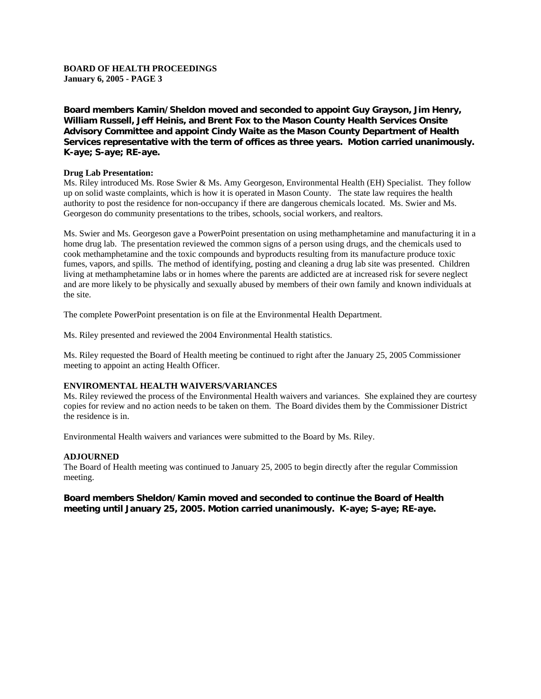## **BOARD OF HEALTH PROCEEDINGS January 6, 2005 - PAGE 3**

**Board members Kamin/Sheldon moved and seconded to appoint Guy Grayson, Jim Henry, William Russell, Jeff Heinis, and Brent Fox to the Mason County Health Services Onsite Advisory Committee and appoint Cindy Waite as the Mason County Department of Health Services representative with the term of offices as three years. Motion carried unanimously. K-aye; S-aye; RE-aye.**

### **Drug Lab Presentation:**

Ms. Riley introduced Ms. Rose Swier & Ms. Amy Georgeson, Environmental Health (EH) Specialist. They follow up on solid waste complaints, which is how it is operated in Mason County. The state law requires the health authority to post the residence for non-occupancy if there are dangerous chemicals located. Ms. Swier and Ms. Georgeson do community presentations to the tribes, schools, social workers, and realtors.

Ms. Swier and Ms. Georgeson gave a PowerPoint presentation on using methamphetamine and manufacturing it in a home drug lab. The presentation reviewed the common signs of a person using drugs, and the chemicals used to cook methamphetamine and the toxic compounds and byproducts resulting from its manufacture produce toxic fumes, vapors, and spills. The method of identifying, posting and cleaning a drug lab site was presented. Children living at methamphetamine labs or in homes where the parents are addicted are at increased risk for severe neglect and are more likely to be physically and sexually abused by members of their own family and known individuals at the site.

The complete PowerPoint presentation is on file at the Environmental Health Department.

Ms. Riley presented and reviewed the 2004 Environmental Health statistics.

Ms. Riley requested the Board of Health meeting be continued to right after the January 25, 2005 Commissioner meeting to appoint an acting Health Officer.

## **ENVIROMENTAL HEALTH WAIVERS/VARIANCES**

Ms. Riley reviewed the process of the Environmental Health waivers and variances. She explained they are courtesy copies for review and no action needs to be taken on them. The Board divides them by the Commissioner District the residence is in.

Environmental Health waivers and variances were submitted to the Board by Ms. Riley.

#### **ADJOURNED**

The Board of Health meeting was continued to January 25, 2005 to begin directly after the regular Commission meeting.

## **Board members Sheldon/Kamin moved and seconded to continue the Board of Health meeting until January 25, 2005. Motion carried unanimously. K-aye; S-aye; RE-aye.**